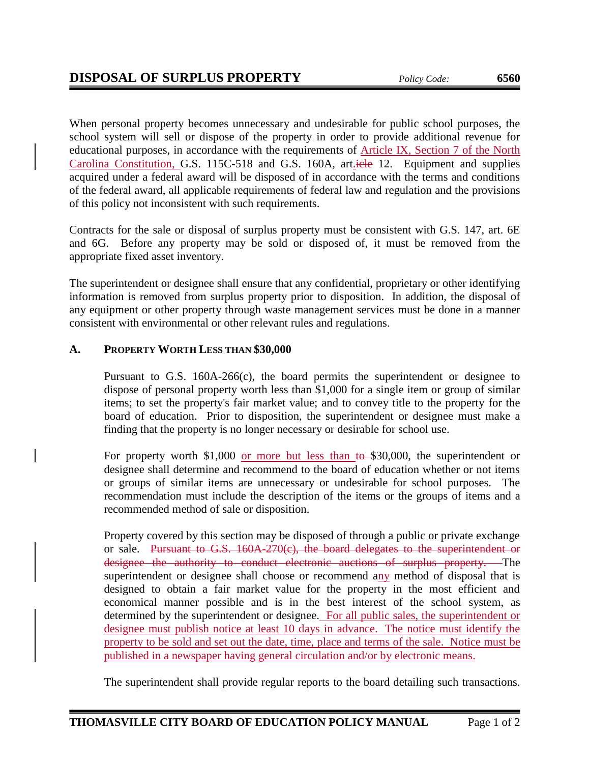When personal property becomes unnecessary and undesirable for public school purposes, the school system will sell or dispose of the property in order to provide additional revenue for educational purposes, in accordance with the requirements of Article IX, Section 7 of the North Carolina Constitution, G.S. 115C-518 and G.S. 160A, art. iele 12. Equipment and supplies acquired under a federal award will be disposed of in accordance with the terms and conditions of the federal award, all applicable requirements of federal law and regulation and the provisions of this policy not inconsistent with such requirements.

Contracts for the sale or disposal of surplus property must be consistent with G.S. 147, art. 6E and 6G. Before any property may be sold or disposed of, it must be removed from the appropriate fixed asset inventory.

The superintendent or designee shall ensure that any confidential, proprietary or other identifying information is removed from surplus property prior to disposition. In addition, the disposal of any equipment or other property through waste management services must be done in a manner consistent with environmental or other relevant rules and regulations.

## **A. PROPERTY WORTH LESS THAN \$30,000**

Pursuant to G.S. 160A-266(c), the board permits the superintendent or designee to dispose of personal property worth less than \$1,000 for a single item or group of similar items; to set the property's fair market value; and to convey title to the property for the board of education. Prior to disposition, the superintendent or designee must make a finding that the property is no longer necessary or desirable for school use.

For property worth \$1,000 or more but less than  $t\theta$ -\$30,000, the superintendent or designee shall determine and recommend to the board of education whether or not items or groups of similar items are unnecessary or undesirable for school purposes. The recommendation must include the description of the items or the groups of items and a recommended method of sale or disposition.

Property covered by this section may be disposed of through a public or private exchange or sale. Pursuant to G.S. 160A-270(c), the board delegates to the superintendent or designee the authority to conduct electronic auctions of surplus property. The superintendent or designee shall choose or recommend any method of disposal that is designed to obtain a fair market value for the property in the most efficient and economical manner possible and is in the best interest of the school system, as determined by the superintendent or designee. For all public sales, the superintendent or designee must publish notice at least 10 days in advance. The notice must identify the property to be sold and set out the date, time, place and terms of the sale. Notice must be published in a newspaper having general circulation and/or by electronic means.

The superintendent shall provide regular reports to the board detailing such transactions.